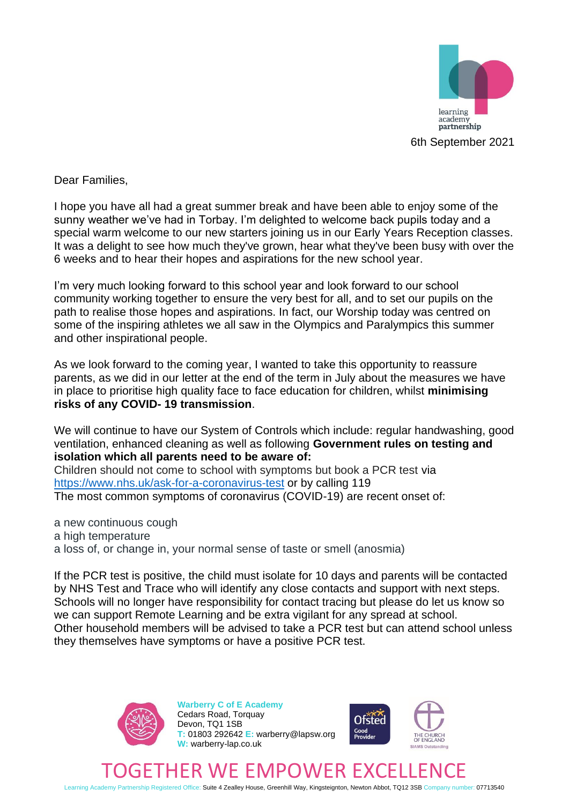

Dear Families,

I hope you have all had a great summer break and have been able to enjoy some of the sunny weather we've had in Torbay. I'm delighted to welcome back pupils today and a special warm welcome to our new starters joining us in our Early Years Reception classes. It was a delight to see how much they've grown, hear what they've been busy with over the 6 weeks and to hear their hopes and aspirations for the new school year.

I'm very much looking forward to this school year and look forward to our school community working together to ensure the very best for all, and to set our pupils on the path to realise those hopes and aspirations. In fact, our Worship today was centred on some of the inspiring athletes we all saw in the Olympics and Paralympics this summer and other inspirational people.

As we look forward to the coming year, I wanted to take this opportunity to reassure parents, as we did in our letter at the end of the term in July about the measures we have in place to prioritise high quality face to face education for children, whilst **minimising risks of any COVID- 19 transmission**.

We will continue to have our System of Controls which include: regular handwashing, good ventilation, enhanced cleaning as well as following **Government rules on testing and isolation which all parents need to be aware of:**

Children should not come to school with symptoms but book a PCR test via <https://www.nhs.uk/ask-for-a-coronavirus-test> or by calling 119 The most common symptoms of coronavirus (COVID-19) are recent onset of:

a new continuous cough a high temperature a loss of, or change in, your normal sense of taste or smell (anosmia)

If the PCR test is positive, the child must isolate for 10 days and parents will be contacted by NHS Test and Trace who will identify any close contacts and support with next steps. Schools will no longer have responsibility for contact tracing but please do let us know so we can support Remote Learning and be extra vigilant for any spread at school. Other household members will be advised to take a PCR test but can attend school unless they themselves have symptoms or have a positive PCR test.



**Warberry C of E Academy** Cedars Road, Torquay Devon, TQ1 1SB **T:** 01803 292642 **E:** warberry@lapsw.org **W:** warberry-lap.co.uk



## ETHER WE EMPOWER EXC

Learning Academy Partnership Registered Office: Suite 4 Zealley House, Greenhill Way, Kingsteignton, Newton Abbot, TQ12 3SB Company number: 07713540